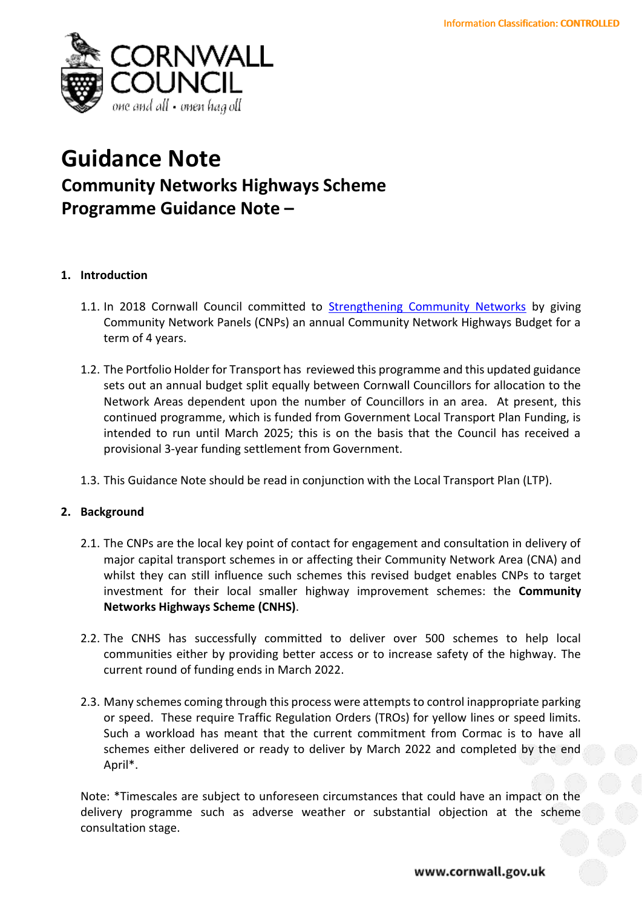

# **Guidance Note Community Networks Highways Scheme**

**Programme Guidance Note –**

# **1. Introduction**

- 1.1. In 2018 Cornwall Council committed to [Strengthening Community Networks](https://democracy.cornwall.gov.uk/ieDecisionDetails.aspx?AIId=66405) by giving Community Network Panels (CNPs) an annual Community Network Highways Budget for a term of 4 years.
- 1.2. The Portfolio Holder for Transport has reviewed this programme and this updated guidance sets out an annual budget split equally between Cornwall Councillors for allocation to the Network Areas dependent upon the number of Councillors in an area. At present, this continued programme, which is funded from Government Local Transport Plan Funding, is intended to run until March 2025; this is on the basis that the Council has received a provisional 3-year funding settlement from Government.
- 1.3. This Guidance Note should be read in conjunction with the Local Transport Plan (LTP).

# **2. Background**

- 2.1. The CNPs are the local key point of contact for engagement and consultation in delivery of major capital transport schemes in or affecting their Community Network Area (CNA) and whilst they can still influence such schemes this revised budget enables CNPs to target investment for their local smaller highway improvement schemes: the **Community Networks Highways Scheme (CNHS)**.
- 2.2. The CNHS has successfully committed to deliver over 500 schemes to help local communities either by providing better access or to increase safety of the highway. The current round of funding ends in March 2022.
- 2.3. Many schemes coming through this process were attempts to control inappropriate parking or speed. These require Traffic Regulation Orders (TROs) for yellow lines or speed limits. Such a workload has meant that the current commitment from Cormac is to have all schemes either delivered or ready to deliver by March 2022 and completed by the end April\*.

Note: \*Timescales are subject to unforeseen circumstances that could have an impact on the delivery programme such as adverse weather or substantial objection at the scheme consultation stage.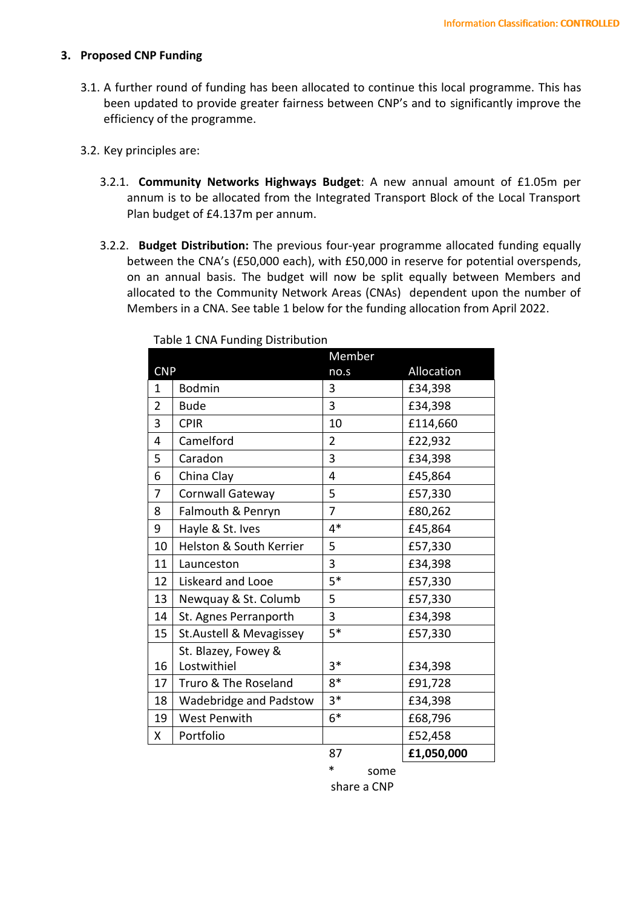#### **3. Proposed CNP Funding**

- 3.1. A further round of funding has been allocated to continue this local programme. This has been updated to provide greater fairness between CNP's and to significantly improve the efficiency of the programme.
- 3.2. Key principles are:
	- 3.2.1. **Community Networks Highways Budget**: A new annual amount of £1.05m per annum is to be allocated from the Integrated Transport Block of the Local Transport Plan budget of £4.137m per annum.
	- 3.2.2. **Budget Distribution:** The previous four-year programme allocated funding equally between the CNA's (£50,000 each), with £50,000 in reserve for potential overspends, on an annual basis. The budget will now be split equally between Members and allocated to the Community Network Areas (CNAs) dependent upon the number of Members in a CNA. See table 1 below for the funding allocation from April 2022.

|                |                                    | Member         |            |
|----------------|------------------------------------|----------------|------------|
| <b>CNP</b>     |                                    | no.s           | Allocation |
| $\mathbf{1}$   | <b>Bodmin</b>                      | 3              | £34,398    |
| $\overline{2}$ | <b>Bude</b>                        | 3              | £34,398    |
| 3              | <b>CPIR</b>                        | 10             | £114,660   |
| $\overline{4}$ | Camelford                          | $\overline{2}$ | £22,932    |
| 5              | Caradon                            | $\overline{3}$ | £34,398    |
| 6              | China Clay                         | 4              | £45,864    |
| $\overline{7}$ | Cornwall Gateway                   | 5              | £57,330    |
| 8              | Falmouth & Penryn                  | $\overline{7}$ | £80,262    |
| 9              | Hayle & St. Ives                   | $4*$           | £45,864    |
| 10             | Helston & South Kerrier            | 5              | £57,330    |
| 11             | Launceston                         | 3              | £34,398    |
| 12             | Liskeard and Looe                  | $5*$           | £57,330    |
| 13             | Newquay & St. Columb               | 5              | £57,330    |
| 14             | St. Agnes Perranporth              | 3              | £34,398    |
| 15             | St.Austell & Mevagissey            | $5*$           | £57,330    |
| 16             | St. Blazey, Fowey &<br>Lostwithiel | $3*$           | £34,398    |
| 17             | Truro & The Roseland               | $8*$           | £91,728    |
| 18             | Wadebridge and Padstow             | $3*$           | £34,398    |
| 19             | <b>West Penwith</b>                | $6*$           | £68,796    |
| X.             | Portfolio                          |                | £52,458    |
|                |                                    | 87             | £1,050,000 |

Table 1 CNA Funding Distribution

some. share a CNP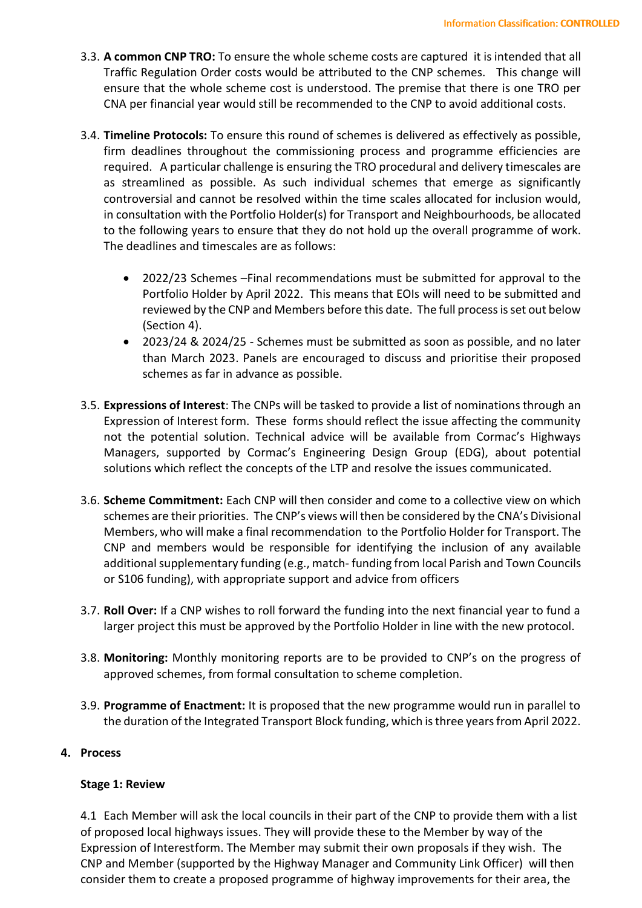- 3.3. **A common CNP TRO:** To ensure the whole scheme costs are captured it is intended that all Traffic Regulation Order costs would be attributed to the CNP schemes. This change will ensure that the whole scheme cost is understood. The premise that there is one TRO per CNA per financial year would still be recommended to the CNP to avoid additional costs.
- 3.4. **Timeline Protocols:** To ensure this round of schemes is delivered as effectively as possible, firm deadlines throughout the commissioning process and programme efficiencies are required. A particular challenge is ensuring the TRO procedural and delivery timescales are as streamlined as possible. As such individual schemes that emerge as significantly controversial and cannot be resolved within the time scales allocated for inclusion would, in consultation with the Portfolio Holder(s) for Transport and Neighbourhoods, be allocated to the following years to ensure that they do not hold up the overall programme of work. The deadlines and timescales are as follows:
	- 2022/23 Schemes –Final recommendations must be submitted for approval to the Portfolio Holder by April 2022. This means that EOIs will need to be submitted and reviewed by the CNP and Members before this date. The full process is set out below (Section 4).
	- 2023/24 & 2024/25 Schemes must be submitted as soon as possible, and no later than March 2023. Panels are encouraged to discuss and prioritise their proposed schemes as far in advance as possible.
- 3.5. **Expressions of Interest**: The CNPs will be tasked to provide a list of nominations through an Expression of Interest form. These forms should reflect the issue affecting the community not the potential solution. Technical advice will be available from Cormac's Highways Managers, supported by Cormac's Engineering Design Group (EDG), about potential solutions which reflect the concepts of the LTP and resolve the issues communicated.
- 3.6. **Scheme Commitment:** Each CNP will then consider and come to a collective view on which schemes are their priorities. The CNP's views will then be considered by the CNA's Divisional Members, who will make a final recommendation to the Portfolio Holder for Transport. The CNP and members would be responsible for identifying the inclusion of any available additional supplementary funding (e.g., match- funding from local Parish and Town Councils or S106 funding), with appropriate support and advice from officers
- 3.7. **Roll Over:** If a CNP wishes to roll forward the funding into the next financial year to fund a larger project this must be approved by the Portfolio Holder in line with the new protocol.
- 3.8. **Monitoring:** Monthly monitoring reports are to be provided to CNP's on the progress of approved schemes, from formal consultation to scheme completion.
- 3.9. **Programme of Enactment:** It is proposed that the new programme would run in parallel to the duration of the Integrated Transport Block funding, which is three years from April 2022.

# **4. Process**

### **Stage 1: Review**

4.1 Each Member will ask the local councils in their part of the CNP to provide them with a list of proposed local highways issues. They will provide these to the Member by way of the Expression of Interestform. The Member may submit their own proposals if they wish. The CNP and Member (supported by the Highway Manager and Community Link Officer) will then consider them to create a proposed programme of highway improvements for their area, the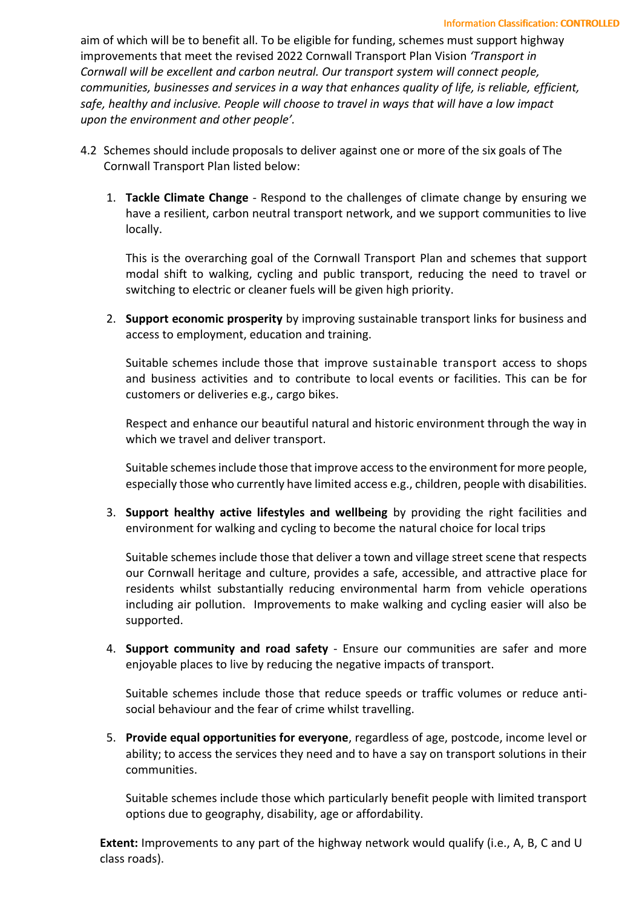aim of which will be to benefit all. To be eligible for funding, schemes must support highway improvements that meet the revised 2022 Cornwall Transport Plan Vision *'Transport in Cornwall will be excellent and carbon neutral. Our transport system will connect people, communities, businesses and services in a way that enhances quality of life, is reliable, efficient, safe, healthy and inclusive. People will choose to travel in ways that will have a low impact upon the environment and other people'.*

- 4.2 Schemes should include proposals to deliver against one or more of the six goals of The Cornwall Transport Plan listed below:
	- 1. **Tackle Climate Change** Respond to the challenges of climate change by ensuring we have a resilient, carbon neutral transport network, and we support communities to live locally.

This is the overarching goal of the Cornwall Transport Plan and schemes that support modal shift to walking, cycling and public transport, reducing the need to travel or switching to electric or cleaner fuels will be given high priority.

2. **Support economic prosperity** by improving sustainable transport links for business and access to employment, education and training.

Suitable schemes include those that improve sustainable transport access to shops and business activities and to contribute to local events or facilities. This can be for customers or deliveries e.g., cargo bikes.

Respect and enhance our beautiful natural and historic environment through the way in which we travel and deliver transport.

Suitable schemes include those that improve access to the environment for more people, especially those who currently have limited access e.g., children, people with disabilities.

3. **Support healthy active lifestyles and wellbeing** by providing the right facilities and environment for walking and cycling to become the natural choice for local trips

Suitable schemes include those that deliver a town and village street scene that respects our Cornwall heritage and culture, provides a safe, accessible, and attractive place for residents whilst substantially reducing environmental harm from vehicle operations including air pollution. Improvements to make walking and cycling easier will also be supported.

4. **Support community and road safety** - Ensure our communities are safer and more enjoyable places to live by reducing the negative impacts of transport.

Suitable schemes include those that reduce speeds or traffic volumes or reduce antisocial behaviour and the fear of crime whilst travelling.

5. **Provide equal opportunities for everyone**, regardless of age, postcode, income level or ability; to access the services they need and to have a say on transport solutions in their communities.

Suitable schemes include those which particularly benefit people with limited transport options due to geography, disability, age or affordability.

**Extent:** Improvements to any part of the highway network would qualify (i.e., A, B, C and U class roads).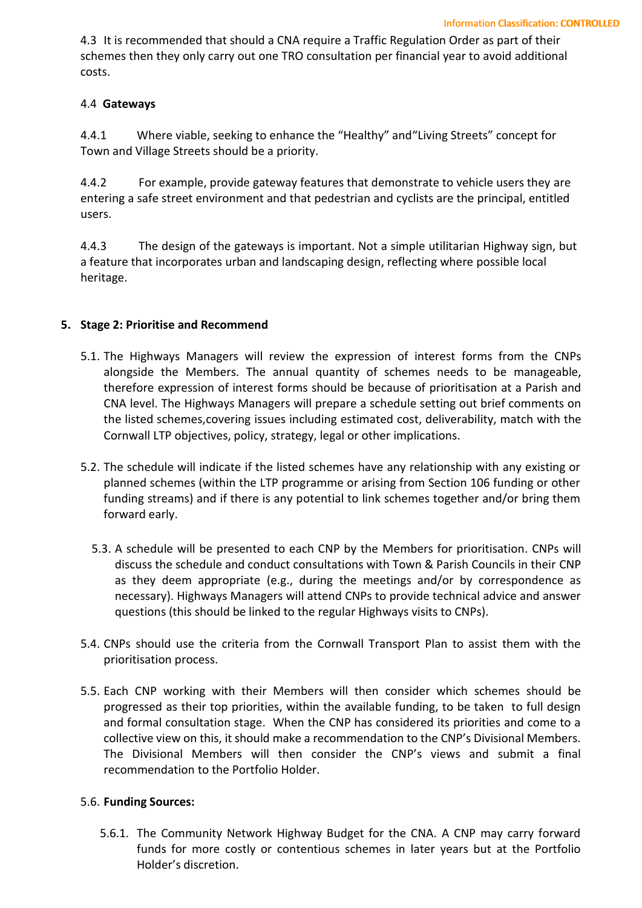4.3 It is recommended that should a CNA require a Traffic Regulation Order as part of their schemes then they only carry out one TRO consultation per financial year to avoid additional costs.

# 4.4 **Gateways**

4.4.1 Where viable, seeking to enhance the "Healthy" and"Living Streets" concept for Town and Village Streets should be a priority.

4.4.2 For example, provide gateway features that demonstrate to vehicle users they are entering a safe street environment and that pedestrian and cyclists are the principal, entitled users.

4.4.3 The design of the gateways is important. Not a simple utilitarian Highway sign, but a feature that incorporates urban and landscaping design, reflecting where possible local heritage.

## **5. Stage 2: Prioritise and Recommend**

- 5.1. The Highways Managers will review the expression of interest forms from the CNPs alongside the Members. The annual quantity of schemes needs to be manageable, therefore expression of interest forms should be because of prioritisation at a Parish and CNA level. The Highways Managers will prepare a schedule setting out brief comments on the listed schemes,covering issues including estimated cost, deliverability, match with the Cornwall LTP objectives, policy, strategy, legal or other implications.
- 5.2. The schedule will indicate if the listed schemes have any relationship with any existing or planned schemes (within the LTP programme or arising from Section 106 funding or other funding streams) and if there is any potential to link schemes together and/or bring them forward early.
	- 5.3. A schedule will be presented to each CNP by the Members for prioritisation. CNPs will discuss the schedule and conduct consultations with Town & Parish Councils in their CNP as they deem appropriate (e.g., during the meetings and/or by correspondence as necessary). Highways Managers will attend CNPs to provide technical advice and answer questions (this should be linked to the regular Highways visits to CNPs).
- 5.4. CNPs should use the criteria from the Cornwall Transport Plan to assist them with the prioritisation process.
- 5.5. Each CNP working with their Members will then consider which schemes should be progressed as their top priorities, within the available funding, to be taken to full design and formal consultation stage. When the CNP has considered its priorities and come to a collective view on this, it should make a recommendation to the CNP's Divisional Members. The Divisional Members will then consider the CNP's views and submit a final recommendation to the Portfolio Holder.

# 5.6. **Funding Sources:**

5.6.1. The Community Network Highway Budget for the CNA. A CNP may carry forward funds for more costly or contentious schemes in later years but at the Portfolio Holder's discretion.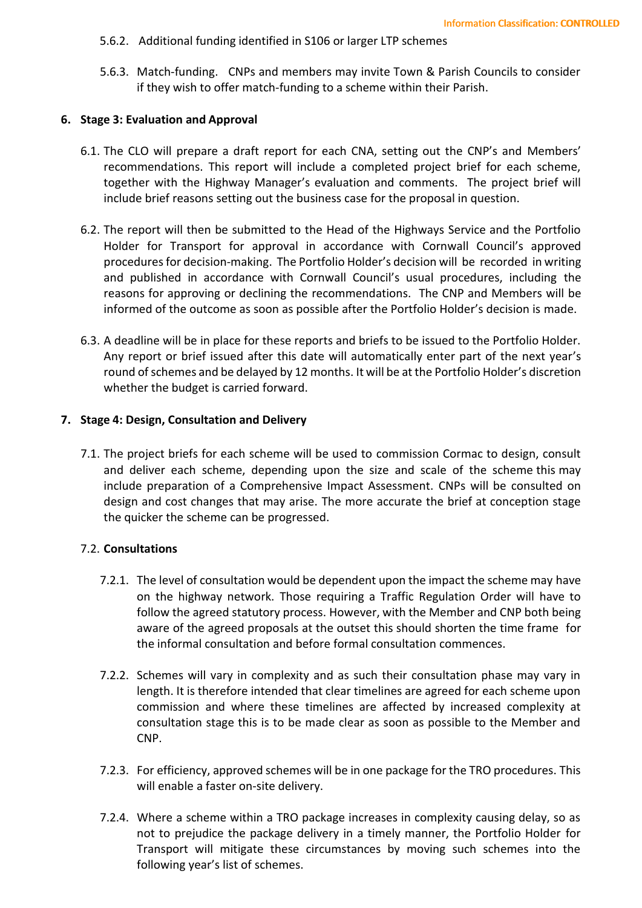- 5.6.2. Additional funding identified in S106 or larger LTP schemes
- 5.6.3. Match-funding. CNPs and members may invite Town & Parish Councils to consider if they wish to offer match-funding to a scheme within their Parish.

#### **6. Stage 3: Evaluation and Approval**

- 6.1. The CLO will prepare a draft report for each CNA, setting out the CNP's and Members' recommendations. This report will include a completed project brief for each scheme, together with the Highway Manager's evaluation and comments. The project brief will include brief reasons setting out the business case for the proposal in question.
- 6.2. The report will then be submitted to the Head of the Highways Service and the Portfolio Holder for Transport for approval in accordance with Cornwall Council's approved procedures for decision-making. The Portfolio Holder's decision will be recorded in writing and published in accordance with Cornwall Council's usual procedures, including the reasons for approving or declining the recommendations. The CNP and Members will be informed of the outcome as soon as possible after the Portfolio Holder's decision is made.
- 6.3. A deadline will be in place for these reports and briefs to be issued to the Portfolio Holder. Any report or brief issued after this date will automatically enter part of the next year's round of schemes and be delayed by 12 months. It will be at the Portfolio Holder's discretion whether the budget is carried forward.

#### **7. Stage 4: Design, Consultation and Delivery**

7.1. The project briefs for each scheme will be used to commission Cormac to design, consult and deliver each scheme, depending upon the size and scale of the scheme this may include preparation of a Comprehensive Impact Assessment. CNPs will be consulted on design and cost changes that may arise. The more accurate the brief at conception stage the quicker the scheme can be progressed.

### 7.2. **Consultations**

- 7.2.1. The level of consultation would be dependent upon the impact the scheme may have on the highway network. Those requiring a Traffic Regulation Order will have to follow the agreed statutory process. However, with the Member and CNP both being aware of the agreed proposals at the outset this should shorten the time frame for the informal consultation and before formal consultation commences.
- 7.2.2. Schemes will vary in complexity and as such their consultation phase may vary in length. It is therefore intended that clear timelines are agreed for each scheme upon commission and where these timelines are affected by increased complexity at consultation stage this is to be made clear as soon as possible to the Member and CNP.
- 7.2.3. For efficiency, approved schemes will be in one package for the TRO procedures. This will enable a faster on-site delivery.
- 7.2.4. Where a scheme within a TRO package increases in complexity causing delay, so as not to prejudice the package delivery in a timely manner, the Portfolio Holder for Transport will mitigate these circumstances by moving such schemes into the following year's list of schemes.